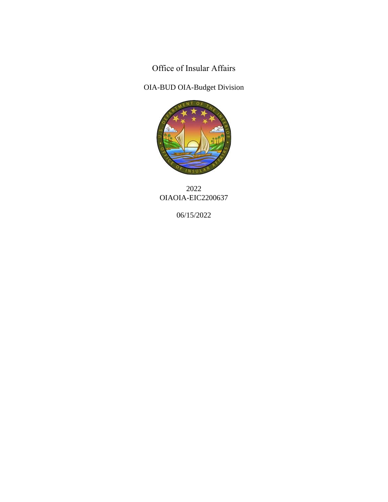Office of Insular Affairs

OIA-BUD OIA-Budget Division



2022 OIAOIA-EIC2200637

06/15/2022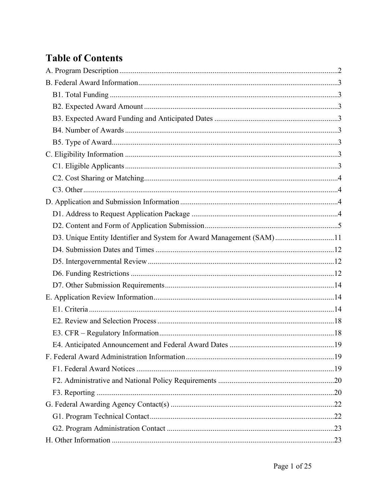# **Table of Contents**

| D3. Unique Entity Identifier and System for Award Management (SAM)11 |  |
|----------------------------------------------------------------------|--|
|                                                                      |  |
|                                                                      |  |
|                                                                      |  |
|                                                                      |  |
|                                                                      |  |
|                                                                      |  |
|                                                                      |  |
|                                                                      |  |
|                                                                      |  |
|                                                                      |  |
|                                                                      |  |
|                                                                      |  |
|                                                                      |  |
|                                                                      |  |
|                                                                      |  |
|                                                                      |  |
|                                                                      |  |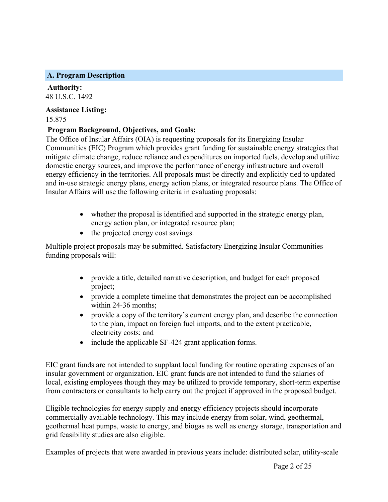### <span id="page-2-0"></span>**A. Program Description**

**Authority:** 48 U.S.C. 1492

**Assistance Listing:** 15.875

# **Program Background, Objectives, and Goals:**

The Office of Insular Affairs (OIA) is requesting proposals for its Energizing Insular Communities (EIC) Program which provides grant funding for sustainable energy strategies that mitigate climate change, reduce reliance and expenditures on imported fuels, develop and utilize domestic energy sources, and improve the performance of energy infrastructure and overall energy efficiency in the territories. All proposals must be directly and explicitly tied to updated and in-use strategic energy plans, energy action plans, or integrated resource plans. The Office of Insular Affairs will use the following criteria in evaluating proposals:

- whether the proposal is identified and supported in the strategic energy plan, energy action plan, or integrated resource plan;
- the projected energy cost savings.

Multiple project proposals may be submitted. Satisfactory Energizing Insular Communities funding proposals will:

- provide a title, detailed narrative description, and budget for each proposed project;
- provide a complete timeline that demonstrates the project can be accomplished within 24-36 months;
- provide a copy of the territory's current energy plan, and describe the connection to the plan, impact on foreign fuel imports, and to the extent practicable, electricity costs; and
- include the applicable SF-424 grant application forms.

EIC grant funds are not intended to supplant local funding for routine operating expenses of an insular government or organization. EIC grant funds are not intended to fund the salaries of local, existing employees though they may be utilized to provide temporary, short-term expertise from contractors or consultants to help carry out the project if approved in the proposed budget.

Eligible technologies for energy supply and energy efficiency projects should incorporate commercially available technology. This may include energy from solar, wind, geothermal, geothermal heat pumps, waste to energy, and biogas as well as energy storage, transportation and grid feasibility studies are also eligible.

Examples of projects that were awarded in previous years include: distributed solar, utility-scale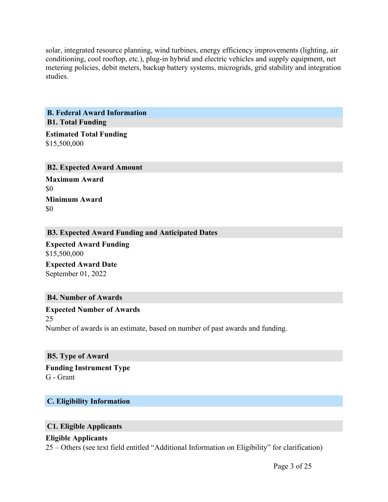solar, integrated resource planning, wind turbines, energy efficiency improvements (lighting, air conditioning, cool rooftop, etc.), plug-in hybrid and electric vehicles and supply equipment, net metering policies, debit meters, backup battery systems, microgrids, grid stability and integration studies.

<span id="page-3-1"></span><span id="page-3-0"></span>**B. Federal Award Information B1. Total Funding**

**Estimated Total Funding** \$15,500,000

<span id="page-3-2"></span>**B2. Expected Award Amount**

**Maximum Award** \$0 **Minimum Award** \$0

### <span id="page-3-3"></span>**B3. Expected Award Funding and Anticipated Dates**

**Expected Award Funding** \$15,500,000

**Expected Award Date** September 01, 2022

### <span id="page-3-4"></span>**B4. Number of Awards**

**Expected Number of Awards** 25 Number of awards is an estimate, based on number of past awards and funding.

<span id="page-3-5"></span>**B5. Type of Award**

**Funding Instrument Type** G - Grant

### <span id="page-3-6"></span>**C. Eligibility Information**

### <span id="page-3-7"></span>**C1. Eligible Applicants**

### **Eligible Applicants**

25 – Others (see text field entitled "Additional Information on Eligibility" for clarification)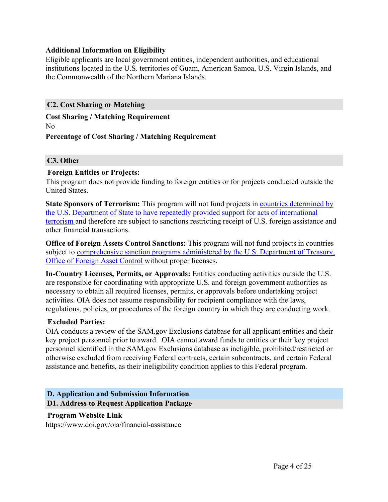### **Additional Information on Eligibility**

Eligible applicants are local government entities, independent authorities, and educational institutions located in the U.S. territories of Guam, American Samoa, U.S. Virgin Islands, and the Commonwealth of the Northern Mariana Islands.

### <span id="page-4-0"></span>**C2. Cost Sharing or Matching**

# **Cost Sharing / Matching Requirement**

No

### **Percentage of Cost Sharing / Matching Requirement**

### <span id="page-4-1"></span>**C3. Other**

### **Foreign Entities or Projects:**

This program does not provide funding to foreign entities or for projects conducted outside the United States.

**State Sponsors of Terrorism:** This program will not fund projects in countries [determined](https://www.state.gov/j/ct/list/c14151.htm) by the U.S. Department of State to have repeatedly provided support for acts of [international](https://www.state.gov/j/ct/list/c14151.htm) [terrorism](https://www.state.gov/j/ct/list/c14151.htm) and therefore are subject to sanctions restricting receipt of U.S. foreign assistance and other financial transactions.

**Office of Foreign Assets Control Sanctions:** This program will not fund projects in countries subject to [comprehensive](http://www.treasury.gov/resource-center/sanctions/Pages/default.aspx) sanction programs administered by the U.S. Department of Treasury, Office of [Foreign](http://www.treasury.gov/resource-center/sanctions/Pages/default.aspx) Asset Control without proper licenses.

**In-Country Licenses, Permits, or Approvals:** Entities conducting activities outside the U.S. are responsible for coordinating with appropriate U.S. and foreign government authorities as necessary to obtain all required licenses, permits, or approvals before undertaking project activities. OIA does not assume responsibility for recipient compliance with the laws, regulations, policies, or procedures of the foreign country in which they are conducting work.

### **Excluded Parties:**

OIA conducts a review of the SAM.gov Exclusions database for all applicant entities and their key project personnel prior to award. OIA cannot award funds to entities or their key project personnel identified in the SAM.gov Exclusions database as ineligible, prohibited/restricted or otherwise excluded from receiving Federal contracts, certain subcontracts, and certain Federal assistance and benefits, as their ineligibility condition applies to this Federal program.

### <span id="page-4-3"></span><span id="page-4-2"></span>**D. Application and Submission Information D1. Address to Request Application Package**

### **Program Website Link**

https://www.doi.gov/oia/financial-assistance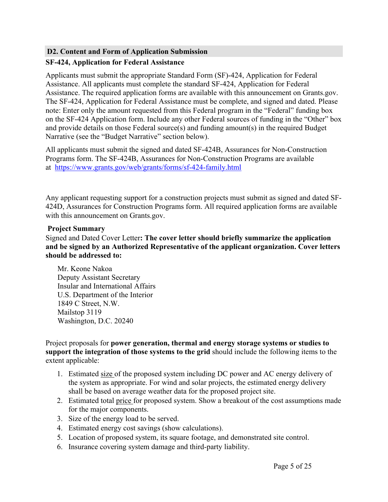### <span id="page-5-0"></span>**D2. Content and Form of Application Submission**

# **SF-424, Application for Federal Assistance**

Applicants must submit the appropriate Standard Form (SF)-424, Application for Federal Assistance. All applicants must complete the standard SF-424, Application for Federal Assistance. The required application forms are available with this announcement on Grants.gov. The SF-424, Application for Federal Assistance must be complete, and signed and dated. Please note: Enter only the amount requested from this Federal program in the "Federal" funding box on the SF-424 Application form. Include any other Federal sources of funding in the "Other" box and provide details on those Federal source(s) and funding amount(s) in the required Budget Narrative (see the "Budget Narrative" section below).

All applicants must submit the signed and dated SF-424B, Assurances for Non-Construction Programs form. The SF-424B, Assurances for Non-Construction Programs are available at <https://www.grants.gov/web/grants/forms/sf-424-family.html>

Any applicant requesting support for a construction projects must submit as signed and dated SF-424D, Assurances for Construction Programs form. All required application forms are available with this announcement on Grants.gov.

### **Project Summary**

Signed and Dated Cover Letter**: The cover letter should briefly summarize the application and be signed by an Authorized Representative of the applicant organization. Cover letters should be addressed to:**

Mr. Keone Nakoa Deputy Assistant Secretary Insular and International Affairs U.S. Department of the Interior 1849 C Street, N.W. Mailstop 3119 Washington, D.C. 20240

### Project proposals for **power generation, thermal and energy storage systems or studies to support the integration of those systems to the grid** should include the following items to the extent applicable:

- 1. Estimated size of the proposed system including DC power and AC energy delivery of the system as appropriate. For wind and solar projects, the estimated energy delivery shall be based on average weather data for the proposed project site.
- 2. Estimated total price for proposed system. Show a breakout of the cost assumptions made for the major components.
- 3. Size of the energy load to be served.
- 4. Estimated energy cost savings (show calculations).
- 5. Location of proposed system, its square footage, and demonstrated site control.
- 6. Insurance covering system damage and third-party liability.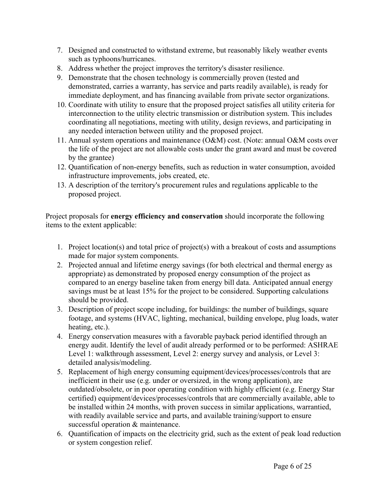- 7. Designed and constructed to withstand extreme, but reasonably likely weather events such as typhoons/hurricanes.
- 8. Address whether the project improves the territory's disaster resilience.
- 9. Demonstrate that the chosen technology is commercially proven (tested and demonstrated, carries a warranty, has service and parts readily available), is ready for immediate deployment, and has financing available from private sector organizations.
- 10. Coordinate with utility to ensure that the proposed project satisfies all utility criteria for interconnection to the utility electric transmission or distribution system. This includes coordinating all negotiations, meeting with utility, design reviews, and participating in any needed interaction between utility and the proposed project.
- 11. Annual system operations and maintenance (O&M) cost. (Note: annual O&M costs over the life of the project are not allowable costs under the grant award and must be covered by the grantee)
- 12. Quantification of non-energy benefits, such as reduction in water consumption, avoided infrastructure improvements, jobs created, etc.
- 13. A description of the territory's procurement rules and regulations applicable to the proposed project.

Project proposals for **energy efficiency and conservation** should incorporate the following items to the extent applicable:

- 1. Project location(s) and total price of project(s) with a breakout of costs and assumptions made for major system components.
- 2. Projected annual and lifetime energy savings (for both electrical and thermal energy as appropriate) as demonstrated by proposed energy consumption of the project as compared to an energy baseline taken from energy bill data. Anticipated annual energy savings must be at least 15% for the project to be considered. Supporting calculations should be provided.
- 3. Description of project scope including, for buildings: the number of buildings, square footage, and systems (HVAC, lighting, mechanical, building envelope, plug loads, water heating, etc.).
- 4. Energy conservation measures with a favorable payback period identified through an energy audit. Identify the level of audit already performed or to be performed: ASHRAE Level 1: walkthrough assessment, Level 2: energy survey and analysis, or Level 3: detailed analysis/modeling.
- 5. Replacement of high energy consuming equipment/devices/processes/controls that are inefficient in their use (e.g. under or oversized, in the wrong application), are outdated/obsolete, or in poor operating condition with highly efficient (e.g. Energy Star certified) equipment/devices/processes/controls that are commercially available, able to be installed within 24 months, with proven success in similar applications, warrantied, with readily available service and parts, and available training/support to ensure successful operation & maintenance.
- 6. Quantification of impacts on the electricity grid, such as the extent of peak load reduction or system congestion relief.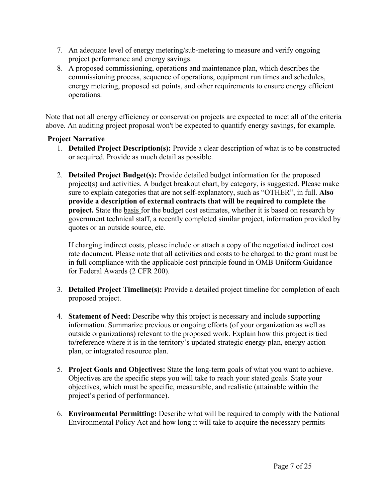- 7. An adequate level of energy metering/sub-metering to measure and verify ongoing project performance and energy savings.
- 8. A proposed commissioning, operations and maintenance plan, which describes the commissioning process, sequence of operations, equipment run times and schedules, energy metering, proposed set points, and other requirements to ensure energy efficient operations.

Note that not all energy efficiency or conservation projects are expected to meet all of the criteria above. An auditing project proposal won't be expected to quantify energy savings, for example.

# **Project Narrative**

- 1. **Detailed Project Description(s):** Provide a clear description of what is to be constructed or acquired. Provide as much detail as possible.
- 2. **Detailed Project Budget(s):** Provide detailed budget information for the proposed project(s) and activities. A budget breakout chart, by category, is suggested. Please make sure to explain categories that are not self-explanatory, such as "OTHER", in full. **Also provide a description of external contracts that will be required to complete the project.** State the basis for the budget cost estimates, whether it is based on research by government technical staff, a recently completed similar project, information provided by quotes or an outside source, etc.

If charging indirect costs, please include or attach a copy of the negotiated indirect cost rate document. Please note that all activities and costs to be charged to the grant must be in full compliance with the applicable cost principle found in OMB Uniform Guidance for Federal Awards (2 CFR 200).

- 3. **Detailed Project Timeline(s):** Provide a detailed project timeline for completion of each proposed project.
- 4. **Statement of Need:** Describe why this project is necessary and include supporting information. Summarize previous or ongoing efforts (of your organization as well as outside organizations) relevant to the proposed work. Explain how this project is tied to/reference where it is in the territory's updated strategic energy plan, energy action plan, or integrated resource plan.
- 5. **Project Goals and Objectives:** State the long-term goals of what you want to achieve. Objectives are the specific steps you will take to reach your stated goals. State your objectives, which must be specific, measurable, and realistic (attainable within the project's period of performance).
- 6. **Environmental Permitting:** Describe what will be required to comply with the National Environmental Policy Act and how long it will take to acquire the necessary permits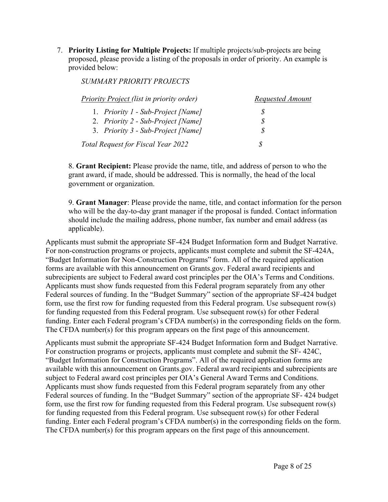7. **Priority Listing for Multiple Projects:** If multiple projects/sub-projects are being proposed, please provide a listing of the proposals in order of priority. An example is provided below:

*SUMMARY PRIORITY PROJECTS*

| Priority Project (list in priority order) | Requested Amount |
|-------------------------------------------|------------------|
| 1. Priority 1 - Sub-Project [Name]        |                  |
| 2. Priority 2 - Sub-Project [Name]        |                  |
| 3. Priority 3 - Sub-Project [Name]        |                  |
| Total Request for Fiscal Year 2022        | S                |

8. **Grant Recipient:** Please provide the name, title, and address of person to who the grant award, if made, should be addressed. This is normally, the head of the local government or organization.

9. **Grant Manager**: Please provide the name, title, and contact information for the person who will be the day-to-day grant manager if the proposal is funded. Contact information should include the mailing address, phone number, fax number and email address (as applicable).

Applicants must submit the appropriate SF-424 Budget Information form and Budget Narrative. For non-construction programs or projects, applicants must complete and submit the SF-424A, "Budget Information for Non-Construction Programs" form. All of the required application forms are available with this announcement on Grants.gov. Federal award recipients and subrecipients are subject to Federal award cost principles per the OIA's Terms and Conditions. Applicants must show funds requested from this Federal program separately from any other Federal sources of funding. In the "Budget Summary" section of the appropriate SF-424 budget form, use the first row for funding requested from this Federal program. Use subsequent row(s) for funding requested from this Federal program. Use subsequent row(s) for other Federal funding. Enter each Federal program's CFDA number(s) in the corresponding fields on the form. The CFDA number(s) for this program appears on the first page of this announcement.

Applicants must submit the appropriate SF-424 Budget Information form and Budget Narrative. For construction programs or projects, applicants must complete and submit the SF- 424C, "Budget Information for Construction Programs". All of the required application forms are available with this announcement on Grants.gov. Federal award recipients and subrecipients are subject to Federal award cost principles per OIA's General Award Terms and Conditions. Applicants must show funds requested from this Federal program separately from any other Federal sources of funding. In the "Budget Summary" section of the appropriate SF- 424 budget form, use the first row for funding requested from this Federal program. Use subsequent row(s) for funding requested from this Federal program. Use subsequent row(s) for other Federal funding. Enter each Federal program's CFDA number(s) in the corresponding fields on the form. The CFDA number(s) for this program appears on the first page of this announcement.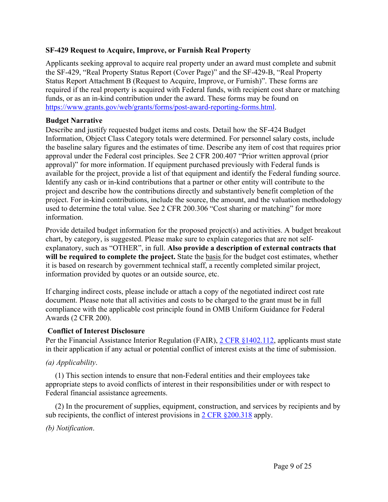# **SF-429 Request to Acquire, Improve, or Furnish Real Property**

Applicants seeking approval to acquire real property under an award must complete and submit the SF-429, "Real Property Status Report (Cover Page)" and the SF-429-B, "Real Property Status Report Attachment B (Request to Acquire, Improve, or Furnish)". These forms are required if the real property is acquired with Federal funds, with recipient cost share or matching funds, or as an in-kind contribution under the award. These forms may be found on [https://www.grants.gov/web/grants/forms/post-award-reporting-forms.html.](https://www.grants.gov/web/grants/forms/post-award-reporting-forms.html)

# **Budget Narrative**

Describe and justify requested budget items and costs. Detail how the SF-424 Budget Information, Object Class Category totals were determined. For personnel salary costs, include the baseline salary figures and the estimates of time. Describe any item of cost that requires prior approval under the Federal cost principles. See 2 CFR 200.407 "Prior written approval (prior approval)" for more information. If equipment purchased previously with Federal funds is available for the project, provide a list of that equipment and identify the Federal funding source. Identify any cash or in-kind contributions that a partner or other entity will contribute to the project and describe how the contributions directly and substantively benefit completion of the project. For in-kind contributions, include the source, the amount, and the valuation methodology used to determine the total value. See 2 CFR 200.306 "Cost sharing or matching" for more information.

Provide detailed budget information for the proposed project(s) and activities. A budget breakout chart, by category, is suggested. Please make sure to explain categories that are not selfexplanatory, such as "OTHER", in full. **Also provide a description of external contracts that will be required to complete the project.** State the basis for the budget cost estimates, whether it is based on research by government technical staff, a recently completed similar project, information provided by quotes or an outside source, etc.

If charging indirect costs, please include or attach a copy of the negotiated indirect cost rate document. Please note that all activities and costs to be charged to the grant must be in full compliance with the applicable cost principle found in OMB Uniform Guidance for Federal Awards (2 CFR 200).

# **Conflict of Interest Disclosure**

Per the Financial Assistance Interior Regulation (FAIR), 2 CFR [§1402.112](https://ecfr.federalregister.gov/current/title-2/subtitle-B/chapter-XIV/part-1402/subpart-B), applicants must state in their application if any actual or potential conflict of interest exists at the time of submission.

### *(a) Applicability*.

(1) This section intends to ensure that non-Federal entities and their employees take appropriate steps to avoid conflicts of interest in their responsibilities under or with respect to Federal financial assistance agreements.

(2) In the procurement of supplies, equipment, construction, and services by recipients and by sub recipients, the conflict of interest provisions in 2 CFR [§200.318](https://www.ecfr.gov/cgi-bin/text-idx?node=sp2.1.200.d&rgn=div6#se2.1.200_1318) apply.

*(b) Notification*.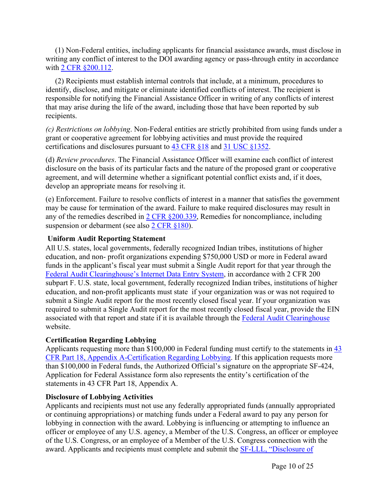(1) Non-Federal entities, including applicants for financial assistance awards, must disclose in writing any conflict of interest to the DOI awarding agency or pass-through entity in accordance with 2 CFR [§200.112](https://www.ecfr.gov/cgi-bin/text-idx?node=pt2.1.200&rgn=div5#se2.1.200_1112).

(2) Recipients must establish internal controls that include, at a minimum, procedures to identify, disclose, and mitigate or eliminate identified conflicts of interest. The recipient is responsible for notifying the Financial Assistance Officer in writing of any conflicts of interest that may arise during the life of the award, including those that have been reported by sub recipients.

*(c) Restrictions on lobbying*. Non-Federal entities are strictly prohibited from using funds under a grant or cooperative agreement for lobbying activities and must provide the required certifications and disclosures pursuant to 43 [CFR](https://www.ecfr.gov/cgi-bin/text-idx?node=pt43.1.18&rgn=div5) §18 and 31 USC [§1352](https://uscode.house.gov/view.xhtml?path=/prelim@title31/subtitle2/chapter13&edition=prelim).

(d) *Review procedures*. The Financial Assistance Officer will examine each conflict of interest disclosure on the basis of its particular facts and the nature of the proposed grant or cooperative agreement, and will determine whether a significant potential conflict exists and, if it does, develop an appropriate means for resolving it.

(e) Enforcement. Failure to resolve conflicts of interest in a manner that satisfies the government may be cause for termination of the award. Failure to make required disclosures may result in any of the remedies described in 2 CFR [§200.339](https://www.ecfr.gov/cgi-bin/text-idx?node=sp2.1.200.d&rgn=div6#se2.1.200_1339), Remedies for noncompliance, including suspension or debarment (see also 2 CFR [§180\)](https://www.ecfr.gov/cgi-bin/text-idx?tpl=/ecfrbrowse/Title02/2cfr180_main_02.tpl).

# **Uniform Audit Reporting Statement**

All U.S. states, local governments, federally recognized Indian tribes, institutions of higher education, and non- profit organizations expending \$750,000 USD or more in Federal award funds in the applicant's fiscal year must submit a Single Audit report for that year through the Federal Audit [Clearinghouse's](https://harvester.census.gov/facides/Account/Login.aspx) Internet Data Entry System, in accordance with 2 CFR 200 subpart F. U.S. state, local government, federally recognized Indian tribes, institutions of higher education, and non-profit applicants must state if your organization was or was not required to submit a Single Audit report for the most recently closed fiscal year. If your organization was required to submit a Single Audit report for the most recently closed fiscal year, provide the EIN associated with that report and state if it is available through the Federal Audit [Clearinghouse](https://harvester.census.gov/facdissem/Main.aspx) website.

# **Certification Regarding Lobbying**

Applicants requesting more than \$100,000 in Federal funding must certify to the statements in  $\frac{43}{5}$  $\frac{43}{5}$  $\frac{43}{5}$ CFR Part 18, Appendix [A-Certification](http://www.ecfr.gov/cgi-bin/text-idx?SID=683823273fc0da6a1060883eda593fb8&mc=true&node=pt43.1.18&rgn=div5) Regarding Lobbying. If this application requests more than \$100,000 in Federal funds, the Authorized Official's signature on the appropriate SF-424, Application for Federal Assistance form also represents the entity's certification of the statements in 43 CFR Part 18, Appendix A.

### **Disclosure of Lobbying Activities**

Applicants and recipients must not use any federally appropriated funds (annually appropriated or continuing appropriations) or matching funds under a Federal award to pay any person for lobbying in connection with the award. Lobbying is influencing or attempting to influence an officer or employee of any U.S. agency, a Member of the U.S. Congress, an officer or employee of the U.S. Congress, or an employee of a Member of the U.S. Congress connection with the award. Applicants and recipients must complete and submit the SF-LLL, ["Disclosure](https://www.grants.gov/web/grants/forms/post-award-reporting-forms.html) of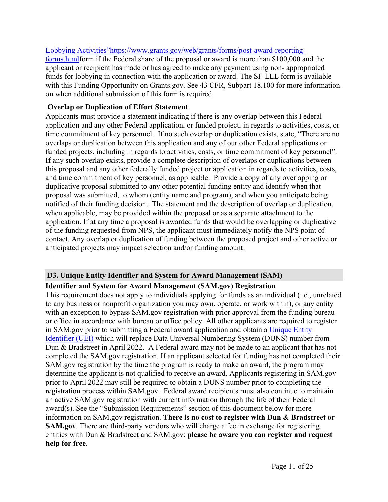Lobbying [Activities"https://www.grants.gov/web/grants/forms/post-award-reporting](https://www.grants.gov/web/grants/forms/post-award-reporting-forms.html)[forms.htmlf](https://www.grants.gov/web/grants/forms/post-award-reporting-forms.html)orm if the Federal share of the proposal or award is more than \$100,000 and the applicant or recipient has made or has agreed to make any payment using non- appropriated funds for lobbying in connection with the application or award. The SF-LLL form is available with this Funding Opportunity on Grants.gov. See 43 CFR, Subpart 18.100 for more information on when additional submission of this form is required.

### **Overlap or Duplication of Effort Statement**

Applicants must provide a statement indicating if there is any overlap between this Federal application and any other Federal application, or funded project, in regards to activities, costs, or time commitment of key personnel. If no such overlap or duplication exists, state, "There are no overlaps or duplication between this application and any of our other Federal applications or funded projects, including in regards to activities, costs, or time commitment of key personnel". If any such overlap exists, provide a complete description of overlaps or duplications between this proposal and any other federally funded project or application in regards to activities, costs, and time commitment of key personnel, as applicable. Provide a copy of any overlapping or duplicative proposal submitted to any other potential funding entity and identify when that proposal was submitted, to whom (entity name and program), and when you anticipate being notified of their funding decision. The statement and the description of overlap or duplication, when applicable, may be provided within the proposal or as a separate attachment to the application. If at any time a proposal is awarded funds that would be overlapping or duplicative of the funding requested from NPS, the applicant must immediately notify the NPS point of contact. Any overlap or duplication of funding between the proposed project and other active or anticipated projects may impact selection and/or funding amount.

### <span id="page-11-0"></span>**D3. Unique Entity Identifier and System for Award Management (SAM)**

### **Identifier and System for Award Management (SAM.gov) Registration**

This requirement does not apply to individuals applying for funds as an individual (i.e., unrelated to any business or nonprofit organization you may own, operate, or work within), or any entity with an exception to bypass SAM.gov registration with prior approval from the funding bureau or office in accordance with bureau or office policy. All other applicants are required to register in SAM.gov prior to submitting a Federal award application and obtain a [Unique](https://www.gsa.gov/about-us/organization/federal-acquisition-service/office-of-systems-management/integrated-award-environment-iae/iae-systems-information-kit/unique-entity-identifier-update) Entity [Identifier](https://www.gsa.gov/about-us/organization/federal-acquisition-service/office-of-systems-management/integrated-award-environment-iae/iae-systems-information-kit/unique-entity-identifier-update) (UEI) which will replace Data Universal Numbering System (DUNS) number from Dun & Bradstreet in April 2022. A Federal award may not be made to an applicant that has not completed the SAM.gov registration. If an applicant selected for funding has not completed their SAM.gov registration by the time the program is ready to make an award, the program may determine the applicant is not qualified to receive an award. Applicants registering in SAM.gov prior to April 2022 may still be required to obtain a DUNS number prior to completing the registration process within SAM.gov. Federal award recipients must also continue to maintain an active SAM.gov registration with current information through the life of their Federal award(s). See the "Submission Requirements" section of this document below for more information on SAM.gov registration. **There is no cost to register with Dun & Bradstreet or SAM.gov**. There are third-party vendors who will charge a fee in exchange for registering entities with Dun & Bradstreet and SAM.gov; **please be aware you can register and request help for free**.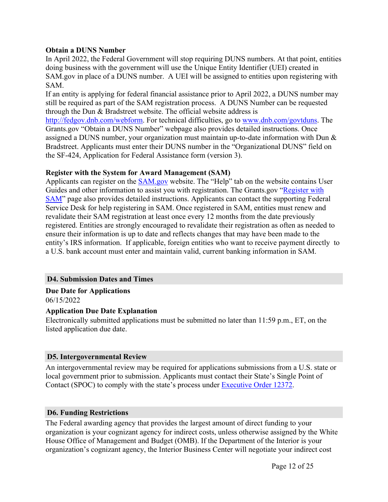### **Obtain a DUNS Number**

In April 2022, the Federal Government will stop requiring DUNS numbers. At that point, entities doing business with the government will use the Unique Entity Identifier (UEI) created in SAM.gov in place of a DUNS number. A UEI will be assigned to entities upon registering with SAM.

If an entity is applying for federal financial assistance prior to April 2022, a DUNS number may still be required as part of the SAM registration process. A DUNS Number can be requested through the Dun & Bradstreet website. The official website address is

<http://fedgov.dnb.com/webform>. For technical difficulties, go to [www.dnb.com/govtduns.](http://www.dnb.com/govtduns) The Grants.gov "Obtain a DUNS Number" webpage also provides detailed instructions. Once assigned a DUNS number, your organization must maintain up-to-date information with Dun & Bradstreet. Applicants must enter their DUNS number in the "Organizational DUNS" field on the SF-424, Application for Federal Assistance form (version 3).

### **Register with the System for Award Management (SAM)**

Applicants can register on the [SAM.gov](http://www.sam.gov) website. The "Help" tab on the website contains User Guides and other information to assist you with registration. The Grants.gov "[Register](https://www.grants.gov/help/html/help/Register/RegisterWithSAM.htm) with [SAM](https://www.grants.gov/help/html/help/Register/RegisterWithSAM.htm)" page also provides detailed instructions. Applicants can contact the supporting Federal Service Desk for help registering in SAM. Once registered in SAM, entities must renew and revalidate their SAM registration at least once every 12 months from the date previously registered. Entities are strongly encouraged to revalidate their registration as often as needed to ensure their information is up to date and reflects changes that may have been made to the entity's IRS information. If applicable, foreign entities who want to receive payment directly to a U.S. bank account must enter and maintain valid, current banking information in SAM.

### <span id="page-12-0"></span>**D4. Submission Dates and Times**

# **Due Date for Applications**

06/15/2022

### **Application Due Date Explanation**

Electronically submitted applications must be submitted no later than 11:59 p.m., ET, on the listed application due date.

### <span id="page-12-1"></span>**D5. Intergovernmental Review**

An intergovernmental review may be required for applications submissions from a U.S. state or local government prior to submission. Applicants must contact their State's Single Point of Contact (SPOC) to comply with the state's process under [Executive](https://www.archives.gov/federal-register/codification/executive-order/12372.html)) Order 12372.

### <span id="page-12-2"></span>**D6. Funding Restrictions**

The Federal awarding agency that provides the largest amount of direct funding to your organization is your cognizant agency for indirect costs, unless otherwise assigned by the White House Office of Management and Budget (OMB). If the Department of the Interior is your organization's cognizant agency, the Interior Business Center will negotiate your indirect cost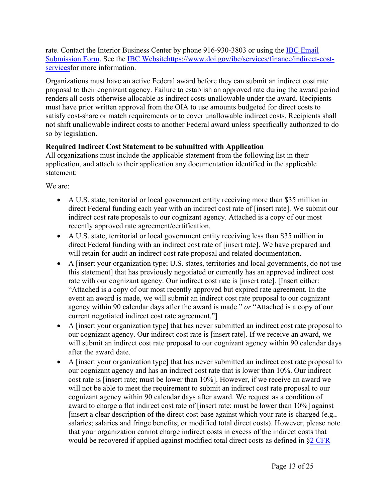rate. Contact the Interior Business Center by phone 916-930-3803 or using the IBC [Email](https://www.doi.gov/ibc/contactus/icsfeedback) [Submission](https://www.doi.gov/ibc/contactus/icsfeedback) Form. See the IBC [Websitehttps://www.doi.gov/ibc/services/finance/indirect-cost](https://www.doi.gov/ibc/services/finance/indirect-cost-services)[servicesf](https://www.doi.gov/ibc/services/finance/indirect-cost-services)or more information.

Organizations must have an active Federal award before they can submit an indirect cost rate proposal to their cognizant agency. Failure to establish an approved rate during the award period renders all costs otherwise allocable as indirect costs unallowable under the award. Recipients must have prior written approval from the OIA to use amounts budgeted for direct costs to satisfy cost-share or match requirements or to cover unallowable indirect costs. Recipients shall not shift unallowable indirect costs to another Federal award unless specifically authorized to do so by legislation.

# **Required Indirect Cost Statement to be submitted with Application**

All organizations must include the applicable statement from the following list in their application, and attach to their application any documentation identified in the applicable statement:

We are:

- A U.S. state, territorial or local government entity receiving more than \$35 million in direct Federal funding each year with an indirect cost rate of [insert rate]. We submit our indirect cost rate proposals to our cognizant agency. Attached is a copy of our most recently approved rate agreement/certification.
- A U.S. state, territorial or local government entity receiving less than \$35 million in direct Federal funding with an indirect cost rate of [insert rate]. We have prepared and will retain for audit an indirect cost rate proposal and related documentation.
- A [insert your organization type; U.S. states, territories and local governments, do not use this statement] that has previously negotiated or currently has an approved indirect cost rate with our cognizant agency. Our indirect cost rate is [insert rate]. [Insert either: "Attached is a copy of our most recently approved but expired rate agreement. In the event an award is made, we will submit an indirect cost rate proposal to our cognizant agency within 90 calendar days after the award is made." *or* "Attached is a copy of our current negotiated indirect cost rate agreement."]
- A [insert your organization type] that has never submitted an indirect cost rate proposal to our cognizant agency. Our indirect cost rate is [insert rate]. If we receive an award, we will submit an indirect cost rate proposal to our cognizant agency within 90 calendar days after the award date.
- A [insert your organization type] that has never submitted an indirect cost rate proposal to our cognizant agency and has an indirect cost rate that is lower than 10%. Our indirect cost rate is [insert rate; must be lower than 10%]. However, if we receive an award we will not be able to meet the requirement to submit an indirect cost rate proposal to our cognizant agency within 90 calendar days after award. We request as a condition of award to charge a flat indirect cost rate of [insert rate; must be lower than 10%] against [insert a clear description of the direct cost base against which your rate is charged (e.g., salaries; salaries and fringe benefits; or modified total direct costs). However, please note that your organization cannot charge indirect costs in excess of the indirect costs that would be recovered if applied against modified total direct costs as defined in §2 [CFR](https://www.ecfr.gov/cgi-bin/text-idx?SID=0bb1f5386f36f965f85dc05b2ad8a804&%3Bmc=true&%3Bnode=pt2.1.200&%3Brgn=div5&%3Bse2.1.200_168)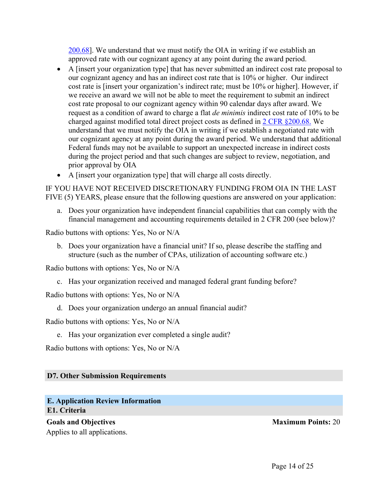[200.68](https://www.ecfr.gov/cgi-bin/text-idx?SID=0bb1f5386f36f965f85dc05b2ad8a804&%3Bmc=true&%3Bnode=pt2.1.200&%3Brgn=div5&%3Bse2.1.200_168)]. We understand that we must notify the OIA in writing if we establish an approved rate with our cognizant agency at any point during the award period.

- A [insert your organization type] that has never submitted an indirect cost rate proposal to our cognizant agency and has an indirect cost rate that is 10% or higher. Our indirect cost rate is [insert your organization's indirect rate; must be 10% or higher]. However, if we receive an award we will not be able to meet the requirement to submit an indirect cost rate proposal to our cognizant agency within 90 calendar days after award. We request as a condition of award to charge a flat *de minimis* indirect cost rate of 10% to be charged against modified total direct project costs as defined in 2 CFR [§200.68.](https://www.ecfr.gov/cgi-bin/text-idx?SID=0bb1f5386f36f965f85dc05b2ad8a804&%3Bmc=true&%3Bnode=pt2.1.200&%3Brgn=div5&%3Bse2.1.200_168) We understand that we must notify the OIA in writing if we establish a negotiated rate with our cognizant agency at any point during the award period. We understand that additional Federal funds may not be available to support an unexpected increase in indirect costs during the project period and that such changes are subject to review, negotiation, and prior approval by OIA
- A [insert your organization type] that will charge all costs directly.

IF YOU HAVE NOT RECEIVED DISCRETIONARY FUNDING FROM OIA IN THE LAST FIVE (5) YEARS, please ensure that the following questions are answered on your application:

a. Does your organization have independent financial capabilities that can comply with the financial management and accounting requirements detailed in 2 CFR 200 (see below)?

Radio buttons with options: Yes, No or N/A

b. Does your organization have a financial unit? If so, please describe the staffing and structure (such as the number of CPAs, utilization of accounting software etc.)

Radio buttons with options: Yes, No or N/A

c. Has your organization received and managed federal grant funding before?

Radio buttons with options: Yes, No or N/A

d. Does your organization undergo an annual financial audit?

Radio buttons with options: Yes, No or N/A

e. Has your organization ever completed a single audit?

Radio buttons with options: Yes, No or N/A

### <span id="page-14-0"></span>**D7. Other Submission Requirements**

### <span id="page-14-2"></span><span id="page-14-1"></span>**E. Application Review Information E1. Criteria**

**Goals and Objectives Maximum Points:** 20 Applies to all applications.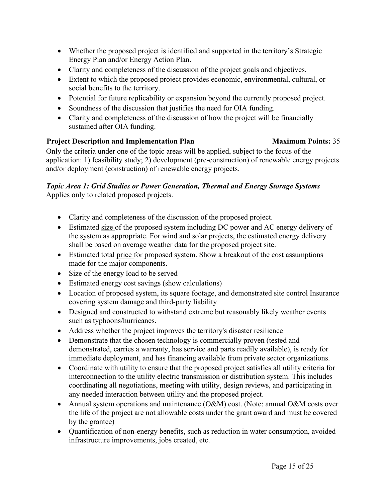- Whether the proposed project is identified and supported in the territory's Strategic Energy Plan and/or Energy Action Plan.
- Clarity and completeness of the discussion of the project goals and objectives.
- Extent to which the proposed project provides economic, environmental, cultural, or social benefits to the territory.
- Potential for future replicability or expansion beyond the currently proposed project.
- Soundness of the discussion that justifies the need for OIA funding.
- Clarity and completeness of the discussion of how the project will be financially sustained after OIA funding.

# **Project Description and Implementation Plan Maximum Points:** 35

Only the criteria under one of the topic areas will be applied, subject to the focus of the application: 1) feasibility study; 2) development (pre-construction) of renewable energy projects and/or deployment (construction) of renewable energy projects.

### *Topic Area 1: Grid Studies or Power Generation, Thermal and Energy Storage Systems* Applies only to related proposed projects.

- Clarity and completeness of the discussion of the proposed project.
- Estimated size of the proposed system including DC power and AC energy delivery of the system as appropriate. For wind and solar projects, the estimated energy delivery shall be based on average weather data for the proposed project site.
- Estimated total price for proposed system. Show a breakout of the cost assumptions made for the major components.
- Size of the energy load to be served
- Estimated energy cost savings (show calculations)
- Location of proposed system, its square footage, and demonstrated site control Insurance covering system damage and third-party liability
- Designed and constructed to withstand extreme but reasonably likely weather events such as typhoons/hurricanes.
- Address whether the project improves the territory's disaster resilience
- Demonstrate that the chosen technology is commercially proven (tested and demonstrated, carries a warranty, has service and parts readily available), is ready for immediate deployment, and has financing available from private sector organizations.
- Coordinate with utility to ensure that the proposed project satisfies all utility criteria for interconnection to the utility electric transmission or distribution system. This includes coordinating all negotiations, meeting with utility, design reviews, and participating in any needed interaction between utility and the proposed project.
- Annual system operations and maintenance (O&M) cost. (Note: annual O&M costs over the life of the project are not allowable costs under the grant award and must be covered by the grantee)
- Quantification of non-energy benefits, such as reduction in water consumption, avoided infrastructure improvements, jobs created, etc.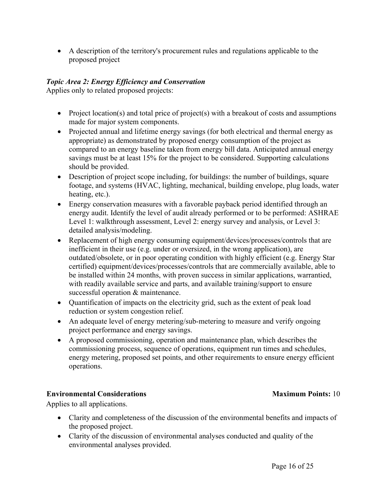A description of the territory's procurement rules and regulations applicable to the proposed project

# *Topic Area 2: Energy Efficiency and Conservation*

Applies only to related proposed projects:

- Project location(s) and total price of project(s) with a breakout of costs and assumptions made for major system components.
- Projected annual and lifetime energy savings (for both electrical and thermal energy as appropriate) as demonstrated by proposed energy consumption of the project as compared to an energy baseline taken from energy bill data. Anticipated annual energy savings must be at least 15% for the project to be considered. Supporting calculations should be provided.
- Description of project scope including, for buildings: the number of buildings, square footage, and systems (HVAC, lighting, mechanical, building envelope, plug loads, water heating, etc.).
- Energy conservation measures with a favorable payback period identified through an energy audit. Identify the level of audit already performed or to be performed: ASHRAE Level 1: walkthrough assessment, Level 2: energy survey and analysis, or Level 3: detailed analysis/modeling.
- Replacement of high energy consuming equipment/devices/processes/controls that are inefficient in their use (e.g. under or oversized, in the wrong application), are outdated/obsolete, or in poor operating condition with highly efficient (e.g. Energy Star certified) equipment/devices/processes/controls that are commercially available, able to be installed within 24 months, with proven success in similar applications, warrantied, with readily available service and parts, and available training/support to ensure successful operation & maintenance.
- Quantification of impacts on the electricity grid, such as the extent of peak load reduction or system congestion relief.
- An adequate level of energy metering/sub-metering to measure and verify ongoing project performance and energy savings.
- A proposed commissioning, operation and maintenance plan, which describes the commissioning process, sequence of operations, equipment run times and schedules, energy metering, proposed set points, and other requirements to ensure energy efficient operations.

# **Environmental Considerations Maximum Points:** 10

Applies to all applications.

- Clarity and completeness of the discussion of the environmental benefits and impacts of the proposed project.
- Clarity of the discussion of environmental analyses conducted and quality of the environmental analyses provided.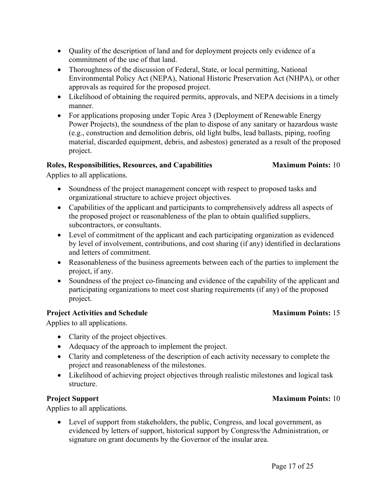- Quality of the description of land and for deployment projects only evidence of a commitment of the use of that land.
- Thoroughness of the discussion of Federal, State, or local permitting, National Environmental Policy Act (NEPA), National Historic Preservation Act (NHPA), or other approvals as required for the proposed project.
- Likelihood of obtaining the required permits, approvals, and NEPA decisions in a timely manner.
- For applications proposing under Topic Area 3 (Deployment of Renewable Energy Power Projects), the soundness of the plan to dispose of any sanitary or hazardous waste (e.g., construction and demolition debris, old light bulbs, lead ballasts, piping, roofing material, discarded equipment, debris, and asbestos) generated as a result of the proposed project.

# **Roles, Responsibilities, Resources, and Capabilities Maximum Points:** 10

Applies to all applications.

- Soundness of the project management concept with respect to proposed tasks and organizational structure to achieve project objectives.
- Capabilities of the applicant and participants to comprehensively address all aspects of the proposed project or reasonableness of the plan to obtain qualified suppliers, subcontractors, or consultants.
- Level of commitment of the applicant and each participating organization as evidenced by level of involvement, contributions, and cost sharing (if any) identified in declarations and letters of commitment.
- Reasonableness of the business agreements between each of the parties to implement the project, if any.
- Soundness of the project co-financing and evidence of the capability of the applicant and participating organizations to meet cost sharing requirements (if any) of the proposed project.

# **Project** Activities and Schedule **Maximum** Points: 15

Applies to all applications.

- Clarity of the project objectives.
- Adequacy of the approach to implement the project.
- Clarity and completeness of the description of each activity necessary to complete the project and reasonableness of the milestones.
- Likelihood of achieving project objectives through realistic milestones and logical task structure.

# **Project Support Maximum Points:** 10

Applies to all applications.

 Level of support from stakeholders, the public, Congress, and local government, as evidenced by letters of support, historical support by Congress/the Administration, or signature on grant documents by the Governor of the insular area.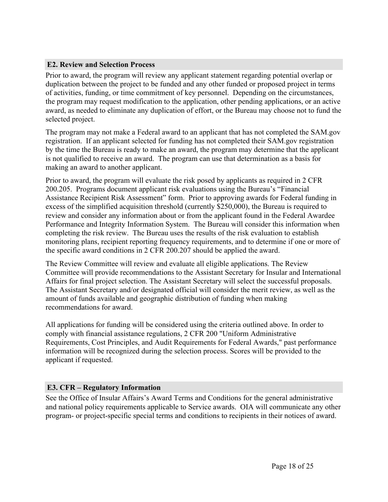# <span id="page-18-0"></span>**E2. Review and Selection Process**

Prior to award, the program will review any applicant statement regarding potential overlap or duplication between the project to be funded and any other funded or proposed project in terms of activities, funding, or time commitment of key personnel. Depending on the circumstances, the program may request modification to the application, other pending applications, or an active award, as needed to eliminate any duplication of effort, or the Bureau may choose not to fund the selected project.

The program may not make a Federal award to an applicant that has not completed the SAM.gov registration. If an applicant selected for funding has not completed their SAM.gov registration by the time the Bureau is ready to make an award, the program may determine that the applicant is not qualified to receive an award. The program can use that determination as a basis for making an award to another applicant.

Prior to award, the program will evaluate the risk posed by applicants as required in 2 CFR 200.205. Programs document applicant risk evaluations using the Bureau's "Financial Assistance Recipient Risk Assessment" form. Prior to approving awards for Federal funding in excess of the simplified acquisition threshold (currently \$250,000), the Bureau is required to review and consider any information about or from the applicant found in the Federal Awardee Performance and Integrity Information System. The Bureau will consider this information when completing the risk review. The Bureau uses the results of the risk evaluation to establish monitoring plans, recipient reporting frequency requirements, and to determine if one or more of the specific award conditions in 2 CFR 200.207 should be applied the award.

The Review Committee will review and evaluate all eligible applications. The Review Committee will provide recommendations to the Assistant Secretary for Insular and International Affairs for final project selection. The Assistant Secretary will select the successful proposals. The Assistant Secretary and/or designated official will consider the merit review, as well as the amount of funds available and geographic distribution of funding when making recommendations for award.

All applications for funding will be considered using the criteria outlined above. In order to comply with financial assistance regulations, 2 CFR 200 "Uniform Administrative Requirements, Cost Principles, and Audit Requirements for Federal Awards," past performance information will be recognized during the selection process. Scores will be provided to the applicant if requested.

### <span id="page-18-1"></span>**E3. CFR – Regulatory Information**

See the Office of Insular Affairs's Award Terms and Conditions for the general administrative and national policy requirements applicable to Service awards. OIA will communicate any other program- or project-specific special terms and conditions to recipients in their notices of award.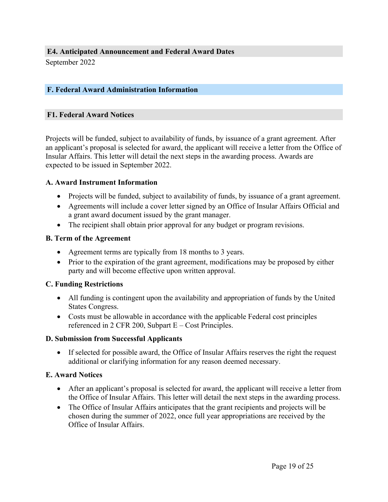<span id="page-19-0"></span>September 2022

# <span id="page-19-1"></span>**F. Federal Award Administration Information**

### <span id="page-19-2"></span>**F1. Federal Award Notices**

Projects will be funded, subject to availability of funds, by issuance of a grant agreement. After an applicant's proposal is selected for award, the applicant will receive a letter from the Office of Insular Affairs. This letter will detail the next steps in the awarding process. Awards are expected to be issued in September 2022.

### **A. Award Instrument Information**

- Projects will be funded, subject to availability of funds, by issuance of a grant agreement.
- Agreements will include a cover letter signed by an Office of Insular Affairs Official and a grant award document issued by the grant manager.
- The recipient shall obtain prior approval for any budget or program revisions.

### **B. Term of the Agreement**

- Agreement terms are typically from 18 months to 3 years.
- Prior to the expiration of the grant agreement, modifications may be proposed by either party and will become effective upon written approval.

### **C. Funding Restrictions**

- All funding is contingent upon the availability and appropriation of funds by the United States Congress.
- Costs must be allowable in accordance with the applicable Federal cost principles referenced in 2 CFR 200, Subpart  $E - Cost$  Principles.

### **D. Submission from Successful Applicants**

 If selected for possible award, the Office of Insular Affairs reserves the right the request additional or clarifying information for any reason deemed necessary.

### **E. Award Notices**

- After an applicant's proposal is selected for award, the applicant will receive a letter from the Office of Insular Affairs. This letter will detail the next steps in the awarding process.
- The Office of Insular Affairs anticipates that the grant recipients and projects will be chosen during the summer of 2022, once full year appropriations are received by the Office of Insular Affairs.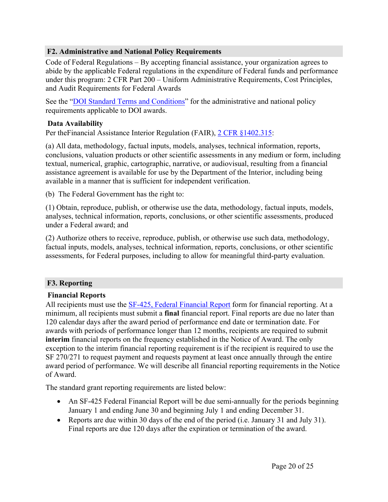### <span id="page-20-0"></span>**F2. Administrative and National Policy Requirements**

Code of Federal Regulations – By accepting financial assistance, your organization agrees to abide by the applicable Federal regulations in the expenditure of Federal funds and performance under this program: 2 CFR Part 200 – Uniform Administrative Requirements, Cost Principles, and Audit Requirements for Federal Awards

See the "DOI Standard Terms and [Conditions"](https://www.doi.gov/grants/doi-standard-terms-and-conditions) for the administrative and national policy requirements applicable to DOI awards.

### **Data Availability**

Per theFinancial Assistance Interior Regulation (FAIR), 2 CFR [§1402.315](https://www.ecfr.gov/current/title-2/subtitle-A/chapter-II/part-200/subpart-D/subject-group-ECFR8feb98c2e3e5ad2/section-200.315):

(a) All data, methodology, factual inputs, models, analyses, technical information, reports, conclusions, valuation products or other scientific assessments in any medium or form, including textual, numerical, graphic, cartographic, narrative, or audiovisual, resulting from a financial assistance agreement is available for use by the Department of the Interior, including being available in a manner that is sufficient for independent verification.

(b) The Federal Government has the right to:

(1) Obtain, reproduce, publish, or otherwise use the data, methodology, factual inputs, models, analyses, technical information, reports, conclusions, or other scientific assessments, produced under a Federal award; and

(2) Authorize others to receive, reproduce, publish, or otherwise use such data, methodology, factual inputs, models, analyses, technical information, reports, conclusions, or other scientific assessments, for Federal purposes, including to allow for meaningful third-party evaluation.

### <span id="page-20-1"></span>**F3. Reporting**

### **Financial Reports**

All recipients must use the SF-425, Federal [Financial](https://www.grants.gov/web/grants/forms/post-award-reporting-forms.html) Report form for financial reporting. At a minimum, all recipients must submit a **final** financial report. Final reports are due no later than 120 calendar days after the award period of performance end date or termination date. For awards with periods of performance longer than 12 months, recipients are required to submit **interim** financial reports on the frequency established in the Notice of Award. The only exception to the interim financial reporting requirement is if the recipient is required to use the SF 270/271 to request payment and requests payment at least once annually through the entire award period of performance. We will describe all financial reporting requirements in the Notice of Award.

The standard grant reporting requirements are listed below:

- An SF-425 Federal Financial Report will be due semi-annually for the periods beginning January 1 and ending June 30 and beginning July 1 and ending December 31.
- Reports are due within 30 days of the end of the period (i.e. January 31 and July 31). Final reports are due 120 days after the expiration or termination of the award.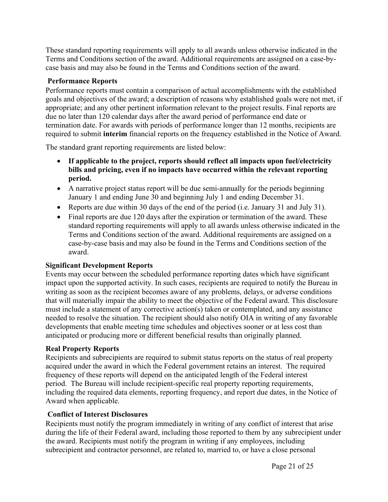These standard reporting requirements will apply to all awards unless otherwise indicated in the Terms and Conditions section of the award. Additional requirements are assigned on a case-bycase basis and may also be found in the Terms and Conditions section of the award.

# **Performance Reports**

Performance reports must contain a comparison of actual accomplishments with the established goals and objectives of the award; a description of reasons why established goals were not met, if appropriate; and any other pertinent information relevant to the project results. Final reports are due no later than 120 calendar days after the award period of performance end date or termination date. For awards with periods of performance longer than 12 months, recipients are required to submit **interim** financial reports on the frequency established in the Notice of Award.

The standard grant reporting requirements are listed below:

- **If applicable to the project, reports should reflect all impacts upon fuel/electricity bills and pricing, even if no impacts have occurred within the relevant reporting period.**
- A narrative project status report will be due semi-annually for the periods beginning January 1 and ending June 30 and beginning July 1 and ending December 31.
- Reports are due within 30 days of the end of the period (i.e. January 31 and July 31).
- Final reports are due 120 days after the expiration or termination of the award. These standard reporting requirements will apply to all awards unless otherwise indicated in the Terms and Conditions section of the award. Additional requirements are assigned on a case-by-case basis and may also be found in the Terms and Conditions section of the award.

# **Significant Development Reports**

Events may occur between the scheduled performance reporting dates which have significant impact upon the supported activity. In such cases, recipients are required to notify the Bureau in writing as soon as the recipient becomes aware of any problems, delays, or adverse conditions that will materially impair the ability to meet the objective of the Federal award. This disclosure must include a statement of any corrective action(s) taken or contemplated, and any assistance needed to resolve the situation. The recipient should also notify OIA in writing of any favorable developments that enable meeting time schedules and objectives sooner or at less cost than anticipated or producing more or different beneficial results than originally planned.

# **Real Property Reports**

Recipients and subrecipients are required to submit status reports on the status of real property acquired under the award in which the Federal government retains an interest. The required frequency of these reports will depend on the anticipated length of the Federal interest period. The Bureau will include recipient-specific real property reporting requirements, including the required data elements, reporting frequency, and report due dates, in the Notice of Award when applicable.

# **Conflict of Interest Disclosures**

Recipients must notify the program immediately in writing of any conflict of interest that arise during the life of their Federal award, including those reported to them by any subrecipient under the award. Recipients must notify the program in writing if any employees, including subrecipient and contractor personnel, are related to, married to, or have a close personal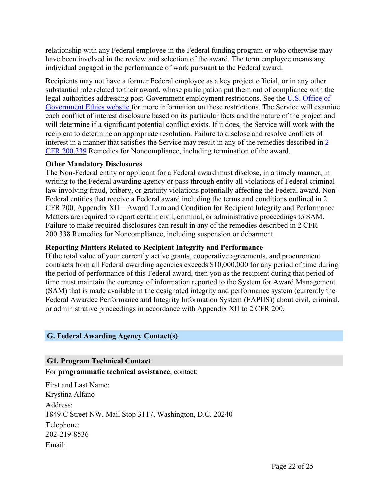relationship with any Federal employee in the Federal funding program or who otherwise may have been involved in the review and selection of the award. The term employee means any individual engaged in the performance of work pursuant to the Federal award.

Recipients may not have a former Federal employee as a key project official, or in any other substantial role related to their award, whose participation put them out of compliance with the legal authorities addressing post-Government employment restrictions. See the U.S. [Office](https://oge.gov/) of [Government](https://oge.gov/) Ethics website for more information on these restrictions. The Service will examine each conflict of interest disclosure based on its particular facts and the nature of the project and will determine if a significant potential conflict exists. If it does, the Service will work with the recipient to determine an appropriate resolution. Failure to disclose and resolve conflicts of interest in a manner that satisfies the Service may result in any of the remedies described in [2](https://www.ecfr.gov/cgi-bin/text-idx?SID=4772a9e79baa6af1caafa9c4a7782352&mc=true&node=pt2.1.200&rgn=div5#se2.1.200_1339) CFR [200.339](https://www.ecfr.gov/cgi-bin/text-idx?SID=4772a9e79baa6af1caafa9c4a7782352&mc=true&node=pt2.1.200&rgn=div5#se2.1.200_1339) Remedies for Noncompliance, including termination of the award.

### **Other Mandatory Disclosures**

The Non-Federal entity or applicant for a Federal award must disclose, in a timely manner, in writing to the Federal awarding agency or pass-through entity all violations of Federal criminal law involving fraud, bribery, or gratuity violations potentially affecting the Federal award. Non-Federal entities that receive a Federal award including the terms and conditions outlined in 2 CFR 200, Appendix XII—Award Term and Condition for Recipient Integrity and Performance Matters are required to report certain civil, criminal, or administrative proceedings to SAM. Failure to make required disclosures can result in any of the remedies described in 2 CFR 200.338 Remedies for Noncompliance, including suspension or debarment.

### **Reporting Matters Related to Recipient Integrity and Performance**

If the total value of your currently active grants, cooperative agreements, and procurement contracts from all Federal awarding agencies exceeds \$10,000,000 for any period of time during the period of performance of this Federal award, then you as the recipient during that period of time must maintain the currency of information reported to the System for Award Management (SAM) that is made available in the designated integrity and performance system (currently the Federal Awardee Performance and Integrity Information System (FAPIIS)) about civil, criminal, or administrative proceedings in accordance with Appendix XII to 2 CFR 200.

### <span id="page-22-0"></span>**G. Federal Awarding Agency Contact(s)**

### <span id="page-22-1"></span>**G1. Program Technical Contact**

For **programmatic technical assistance**, contact:

First and Last Name: Krystina Alfano Address: 1849 C Street NW, Mail Stop 3117, Washington, D.C. 20240 Telephone: 202-219-8536 Email: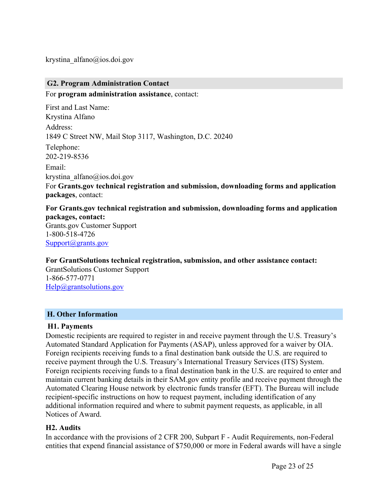krystina\_alfano@ios.doi.gov

# <span id="page-23-0"></span>**G2. Program Administration Contact**

For **program administration assistance**, contact:

First and Last Name: Krystina Alfano Address: 1849 C Street NW, Mail Stop 3117, Washington, D.C. 20240 Telephone: 202-219-8536 Email: krystina\_alfano@ios.doi.gov For **Grants.gov technical registration and submission, downloading forms and application packages**, contact:

**For Grants.gov technical registration and submission, downloading forms and application packages, contact:** Grants.gov Customer Support 1-800-518-4726 [Support@grants.gov](mailto:Support@grants.gov)

### **For GrantSolutions technical registration, submission, and other assistance contact:**

GrantSolutions Customer Support 1-866-577-0771 [Help@grantsolutions.gov](mailto:Help@grantsolutions.gov)

### <span id="page-23-1"></span>**H. Other Information**

### **H1. Payments**

Domestic recipients are required to register in and receive payment through the U.S. Treasury's Automated Standard Application for Payments (ASAP), unless approved for a waiver by OIA. Foreign recipients receiving funds to a final destination bank outside the U.S. are required to receive payment through the U.S. Treasury's International Treasury Services (ITS) System. Foreign recipients receiving funds to a final destination bank in the U.S. are required to enter and maintain current banking details in their SAM.gov entity profile and receive payment through the Automated Clearing House network by electronic funds transfer (EFT). The Bureau will include recipient-specific instructions on how to request payment, including identification of any additional information required and where to submit payment requests, as applicable, in all Notices of Award.

### **H2. Audits**

In accordance with the provisions of 2 CFR 200, Subpart F - Audit Requirements, non-Federal entities that expend financial assistance of \$750,000 or more in Federal awards will have a single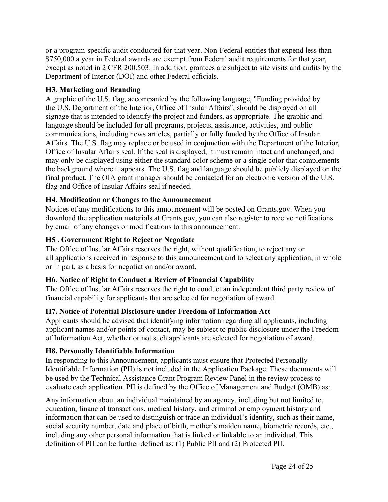or a program-specific audit conducted for that year. Non-Federal entities that expend less than \$750,000 a year in Federal awards are exempt from Federal audit requirements for that year, except as noted in 2 CFR 200.503. In addition, grantees are subject to site visits and audits by the Department of Interior (DOI) and other Federal officials.

# **H3. Marketing and Branding**

A graphic of the U.S. flag, accompanied by the following language, "Funding provided by the U.S. Department of the Interior, Office of Insular Affairs", should be displayed on all signage that is intended to identify the project and funders, as appropriate. The graphic and language should be included for all programs, projects, assistance, activities, and public communications, including news articles, partially or fully funded by the Office of Insular Affairs. The U.S. flag may replace or be used in conjunction with the Department of the Interior, Office of Insular Affairs seal. If the seal is displayed, it must remain intact and unchanged, and may only be displayed using either the standard color scheme or a single color that complements the background where it appears. The U.S. flag and language should be publicly displayed on the final product. The OIA grant manager should be contacted for an electronic version of the U.S. flag and Office of Insular Affairs seal if needed.

# **H4. Modification or Changes to the Announcement**

Notices of any modifications to this announcement will be posted on Grants.gov. When you download the application materials at Grants.gov, you can also register to receive notifications by email of any changes or modifications to this announcement.

# **H5 . Government Right to Reject or Negotiate**

The Office of Insular Affairs reserves the right, without qualification, to reject any or all applications received in response to this announcement and to select any application, in whole or in part, as a basis for negotiation and/or award.

# **H6. Notice of Right to Conduct a Review of Financial Capability**

The Office of Insular Affairs reserves the right to conduct an independent third party review of financial capability for applicants that are selected for negotiation of award.

# **H7. Notice of Potential Disclosure under Freedom of Information Act**

Applicants should be advised that identifying information regarding all applicants, including applicant names and/or points of contact, may be subject to public disclosure under the Freedom of Information Act, whether or not such applicants are selected for negotiation of award.

# **H8. Personally Identifiable Information**

In responding to this Announcement, applicants must ensure that Protected Personally Identifiable Information (PII) is not included in the Application Package. These documents will be used by the Technical Assistance Grant Program Review Panel in the review process to evaluate each application. PII is defined by the Office of Management and Budget (OMB) as:

Any information about an individual maintained by an agency, including but not limited to, education, financial transactions, medical history, and criminal or employment history and information that can be used to distinguish or trace an individual's identity, such as their name, social security number, date and place of birth, mother's maiden name, biometric records, etc., including any other personal information that is linked or linkable to an individual. This definition of PII can be further defined as: (1) Public PII and (2) Protected PII.